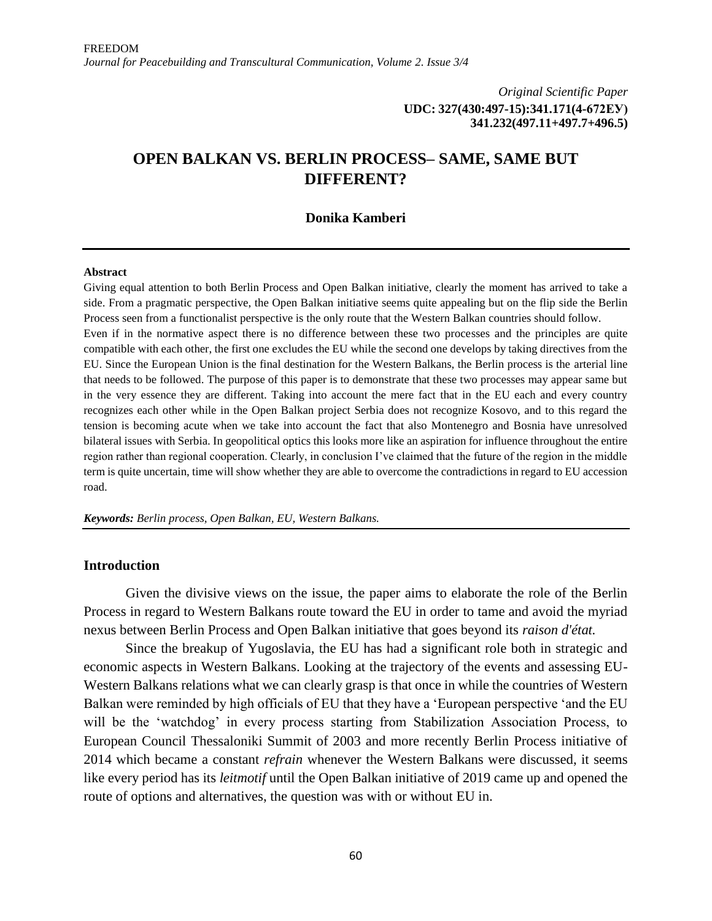*Original Scientific Paper* **UDC: 327(430:497-15):341.171(4-672ЕУ) 341.232(497.11+497.7+496.5)**

# **OPEN BALKAN VS. BERLIN PROCESS– SAME, SAME BUT DIFFERENT?**

### **Donika Kamberi**

#### **Abstract**

Giving equal attention to both Berlin Process and Open Balkan initiative, clearly the moment has arrived to take a side. From a pragmatic perspective, the Open Balkan initiative seems quite appealing but on the flip side the Berlin Process seen from a functionalist perspective is the only route that the Western Balkan countries should follow. Even if in the normative aspect there is no difference between these two processes and the principles are quite compatible with each other, the first one excludes the EU while the second one develops by taking directives from the EU. Since the European Union is the final destination for the Western Balkans, the Berlin process is the arterial line that needs to be followed. The purpose of this paper is to demonstrate that these two processes may appear same but in the very essence they are different. Taking into account the mere fact that in the EU each and every country recognizes each other while in the Open Balkan project Serbia does not recognize Kosovo, and to this regard the tension is becoming acute when we take into account the fact that also Montenegro and Bosnia have unresolved bilateral issues with Serbia. In geopolitical optics this looks more like an aspiration for influence throughout the entire region rather than regional cooperation. Clearly, in conclusion I've claimed that the future of the region in the middle term is quite uncertain, time will show whether they are able to overcome the contradictions in regard to EU accession road.

*Keywords: Berlin process, Open Balkan, EU, Western Balkans.*

## **Introduction**

Given the divisive views on the issue, the paper aims to elaborate the role of the Berlin Process in regard to Western Balkans route toward the EU in order to tame and avoid the myriad nexus between Berlin Process and Open Balkan initiative that goes beyond its *raison d'état.*

Since the breakup of Yugoslavia, the EU has had a significant role both in strategic and economic aspects in Western Balkans. Looking at the trajectory of the events and assessing EU-Western Balkans relations what we can clearly grasp is that once in while the countries of Western Balkan were reminded by high officials of EU that they have a 'European perspective 'and the EU will be the 'watchdog' in every process starting from Stabilization Association Process, to European Council Thessaloniki Summit of 2003 and more recently Berlin Process initiative of 2014 which became a constant *refrain* whenever the Western Balkans were discussed, it seems like every period has its *leitmotif* until the Open Balkan initiative of 2019 came up and opened the route of options and alternatives, the question was with or without EU in.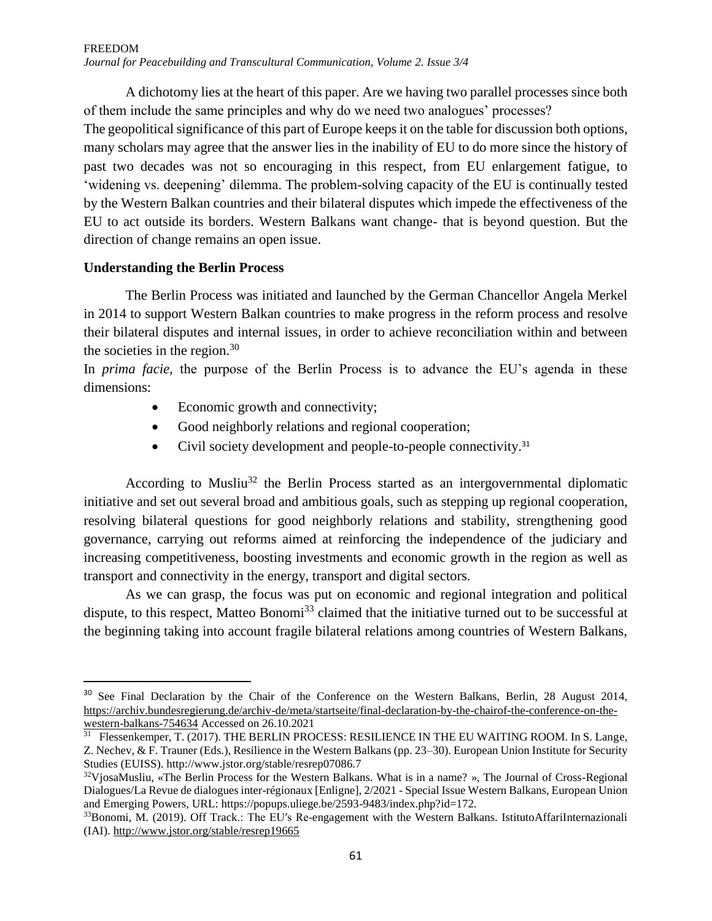A dichotomy lies at the heart of this paper. Are we having two parallel processes since both of them include the same principles and why do we need two analogues' processes?

The geopolitical significance of this part of Europe keeps it on the table for discussion both options, many scholars may agree that the answer lies in the inability of EU to do more since the history of past two decades was not so encouraging in this respect, from EU enlargement fatigue, to 'widening vs. deepening' dilemma. The problem-solving capacity of the EU is continually tested by the Western Balkan countries and their bilateral disputes which impede the effectiveness of the EU to act outside its borders. Western Balkans want change- that is beyond question. But the direction of change remains an open issue.

## **Understanding the Berlin Process**

 $\overline{\phantom{a}}$ 

The Berlin Process was initiated and launched by the German Chancellor Angela Merkel in 2014 to support Western Balkan countries to make progress in the reform process and resolve their bilateral disputes and internal issues, in order to achieve reconciliation within and between the societies in the region. $30$ 

In *prima facie,* the purpose of the Berlin Process is to advance the EU's agenda in these dimensions:

- Economic growth and connectivity;
- Good neighborly relations and regional cooperation;
- Civil society development and people-to-people connectivity.<sup>31</sup>

According to Musliu<sup>32</sup> the Berlin Process started as an intergovernmental diplomatic initiative and set out several broad and ambitious goals, such as stepping up regional cooperation, resolving bilateral questions for good neighborly relations and stability, strengthening good governance, carrying out reforms aimed at reinforcing the independence of the judiciary and increasing competitiveness, boosting investments and economic growth in the region as well as transport and connectivity in the energy, transport and digital sectors.

As we can grasp, the focus was put on economic and regional integration and political dispute, to this respect, Matteo Bonomi<sup>33</sup> claimed that the initiative turned out to be successful at the beginning taking into account fragile bilateral relations among countries of Western Balkans,

<sup>&</sup>lt;sup>30</sup> See Final Declaration by the Chair of the Conference on the Western Balkans, Berlin, 28 August 2014, [https://archiv.bundesregierung.de/archiv-de/meta/startseite/final-declaration-by-the-chairof-the-conference-on-the](https://archiv.bundesregierung.de/archiv-de/meta/startseite/final-declaration-by-the-chairof-the-conference-on-the-western-balkans-754634)[western-balkans-754634](https://archiv.bundesregierung.de/archiv-de/meta/startseite/final-declaration-by-the-chairof-the-conference-on-the-western-balkans-754634) Accessed on 26.10.2021

<sup>&</sup>lt;sup>31</sup> Flessenkemper, T. (2017). THE BERLIN PROCESS: RESILIENCE IN THE EU WAITING ROOM. In S. Lange, Z. Nechev, & F. Trauner (Eds.), Resilience in the Western Balkans (pp. 23–30). European Union Institute for Security Studies (EUISS). http://www.jstor.org/stable/resrep07086.7

<sup>32</sup>VjosaMusliu, «The Berlin Process for the Western Balkans. What is in a name? », The Journal of Cross-Regional Dialogues/La Revue de dialogues inter-régionaux [Enligne], 2/2021 - Special Issue Western Balkans, European Union and Emerging Powers, URL: https://popups.uliege.be/2593-9483/index.php?id=172.

<sup>33</sup>Bonomi, M. (2019). Off Track.: The EUʹs Re-engagement with the Western Balkans. IstitutoAffariInternazionali (IAI).<http://www.jstor.org/stable/resrep19665>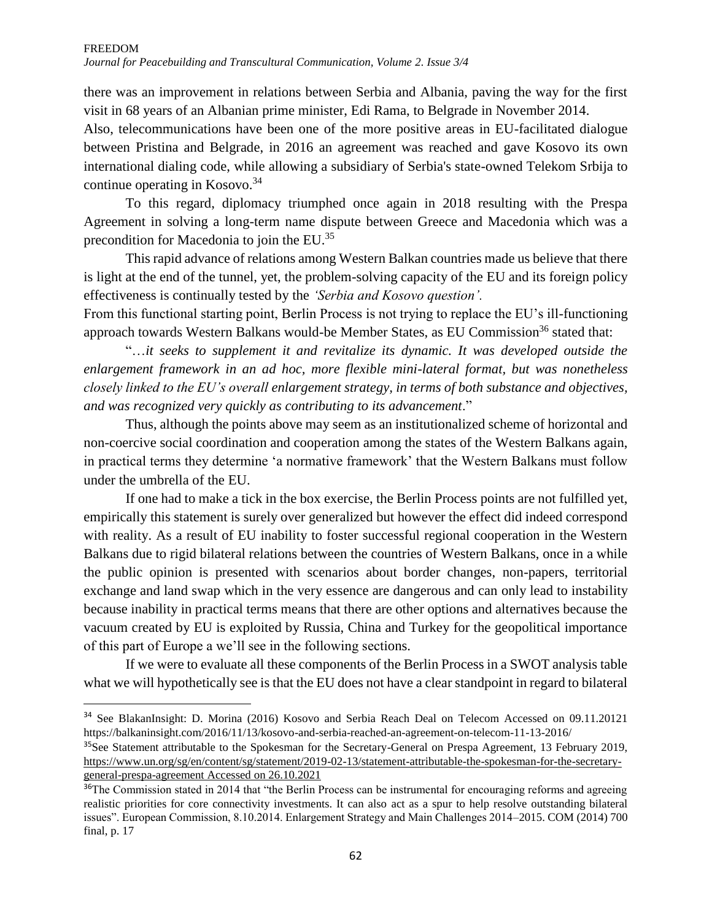there was an improvement in relations between Serbia and Albania, paving the way for the first visit in 68 years of an Albanian prime minister, Edi Rama, to Belgrade in November 2014.

Also, telecommunications have been one of the more positive areas in EU-facilitated dialogue between Pristina and Belgrade, in 2016 an agreement was reached and gave Kosovo its own international dialing code, while allowing a subsidiary of Serbia's state-owned Telekom Srbija to continue operating in Kosovo.<sup>34</sup>

To this regard, diplomacy triumphed once again in 2018 resulting with the Prespa Agreement in solving a long-term name dispute between Greece and Macedonia which was a precondition for Macedonia to join the EU.<sup>35</sup>

This rapid advance of relations among Western Balkan countries made us believe that there is light at the end of the tunnel, yet, the problem-solving capacity of the EU and its foreign policy effectiveness is continually tested by the *'Serbia and Kosovo question'.* 

From this functional starting point, Berlin Process is not trying to replace the EU's ill-functioning approach towards Western Balkans would-be Member States, as EU Commission<sup>36</sup> stated that:

"…*it seeks to supplement it and revitalize its dynamic. It was developed outside the enlargement framework in an ad hoc, more flexible mini-lateral format, but was nonetheless closely linked to the EU's overall enlargement strategy, in terms of both substance and objectives, and was recognized very quickly as contributing to its advancement*."

Thus, although the points above may seem as an institutionalized scheme of horizontal and non-coercive social coordination and cooperation among the states of the Western Balkans again, in practical terms they determine 'a normative framework' that the Western Balkans must follow under the umbrella of the EU.

If one had to make a tick in the box exercise, the Berlin Process points are not fulfilled yet, empirically this statement is surely over generalized but however the effect did indeed correspond with reality. As a result of EU inability to foster successful regional cooperation in the Western Balkans due to rigid bilateral relations between the countries of Western Balkans, once in a while the public opinion is presented with scenarios about border changes, non-papers, territorial exchange and land swap which in the very essence are dangerous and can only lead to instability because inability in practical terms means that there are other options and alternatives because the vacuum created by EU is exploited by Russia, China and Turkey for the geopolitical importance of this part of Europe a we'll see in the following sections.

If we were to evaluate all these components of the Berlin Process in a SWOT analysis table what we will hypothetically see is that the EU does not have a clear standpoint in regard to bilateral

 $\overline{\phantom{a}}$ 

<sup>34</sup> See BlakanInsight: D. Morina (2016) Kosovo and Serbia Reach Deal on Telecom Accessed on 09.11.20121 https://balkaninsight.com/2016/11/13/kosovo-and-serbia-reached-an-agreement-on-telecom-11-13-2016/

<sup>&</sup>lt;sup>35</sup>See Statement attributable to the Spokesman for the Secretary-General on Prespa Agreement, 13 February 2019, [https://www.un.org/sg/en/content/sg/statement/2019-02-13/statement-attributable-the-spokesman-for-the-secretary](https://www.un.org/sg/en/content/sg/statement/2019-02-13/statement-attributable-the-spokesman-for-the-secretary-general-prespa-agreement%20Accessed%20on%2026.10.2021)[general-prespa-agreement Accessed on 26.10.2021](https://www.un.org/sg/en/content/sg/statement/2019-02-13/statement-attributable-the-spokesman-for-the-secretary-general-prespa-agreement%20Accessed%20on%2026.10.2021)

<sup>&</sup>lt;sup>36</sup>The Commission stated in 2014 that "the Berlin Process can be instrumental for encouraging reforms and agreeing realistic priorities for core connectivity investments. It can also act as a spur to help resolve outstanding bilateral issues". European Commission, 8.10.2014. Enlargement Strategy and Main Challenges 2014–2015. COM (2014) 700 final, p. 17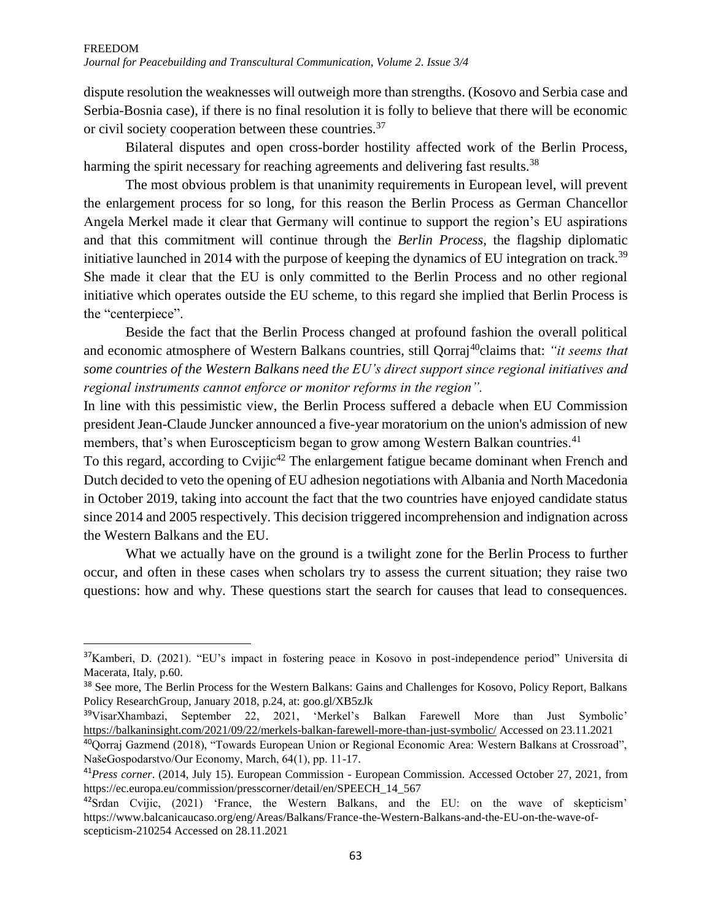dispute resolution the weaknesses will outweigh more than strengths. (Kosovo and Serbia case and Serbia-Bosnia case), if there is no final resolution it is folly to believe that there will be economic or civil society cooperation between these countries.<sup>37</sup>

Bilateral disputes and open cross-border hostility affected work of the Berlin Process, harming the spirit necessary for reaching agreements and delivering fast results.<sup>38</sup>

The most obvious problem is that unanimity requirements in European level, will prevent the enlargement process for so long, for this reason the Berlin Process as German Chancellor Angela Merkel made it clear that Germany will continue to support the region's EU aspirations and that this commitment will continue through the *Berlin Process*, the flagship diplomatic initiative launched in 2014 with the purpose of keeping the dynamics of EU integration on track.<sup>39</sup> She made it clear that the EU is only committed to the Berlin Process and no other regional initiative which operates outside the EU scheme, to this regard she implied that Berlin Process is the "centerpiece".

Beside the fact that the Berlin Process changed at profound fashion the overall political and economic atmosphere of Western Balkans countries, still Qorraj<sup>40</sup>claims that: *"it seems that some countries of the Western Balkans need the EU's direct support since regional initiatives and regional instruments cannot enforce or monitor reforms in the region".*

In line with this pessimistic view, the Berlin Process suffered a debacle when EU Commission president Jean-Claude Juncker announced a five-year moratorium on the union's admission of new members, that's when Euroscepticism began to grow among Western Balkan countries.<sup>41</sup>

To this regard, according to Cvijic<sup>42</sup> The enlargement fatigue became dominant when French and Dutch decided to veto the opening of EU adhesion negotiations with Albania and North Macedonia in October 2019, taking into account the fact that the two countries have enjoyed candidate status since 2014 and 2005 respectively. This decision triggered incomprehension and indignation across the Western Balkans and the EU.

What we actually have on the ground is a twilight zone for the Berlin Process to further occur, and often in these cases when scholars try to assess the current situation; they raise two questions: how and why. These questions start the search for causes that lead to consequences.

 $\overline{\phantom{a}}$ 

<sup>&</sup>lt;sup>37</sup>Kamberi, D. (2021). "EU's impact in fostering peace in Kosovo in post-independence period" Universita di Macerata, Italy, p.60.

<sup>&</sup>lt;sup>38</sup> See more, The Berlin Process for the Western Balkans: Gains and Challenges for Kosovo, Policy Report, Balkans Policy ResearchGroup, January 2018, p.24, at: goo.gl/XB5zJk

<sup>39</sup>VisarXhambazi, September 22, 2021, 'Merkel's Balkan Farewell More than Just Symbolic' <https://balkaninsight.com/2021/09/22/merkels-balkan-farewell-more-than-just-symbolic/> Accessed on 23.11.2021

<sup>40</sup>Qorraj Gazmend (2018), "Towards European Union or Regional Economic Area: Western Balkans at Crossroad", NašeGospodarstvo/Our Economy, March, 64(1), pp. 11-17.

<sup>41</sup>*Press corner*. (2014, July 15). European Commission - European Commission. Accessed October 27, 2021, from https://ec.europa.eu/commission/presscorner/detail/en/SPEECH\_14\_567

<sup>42</sup>Srdan Cvijic, (2021) 'France, the Western Balkans, and the EU: on the wave of skepticism' https://www.balcanicaucaso.org/eng/Areas/Balkans/France-the-Western-Balkans-and-the-EU-on-the-wave-ofscepticism-210254 Accessed on 28.11.2021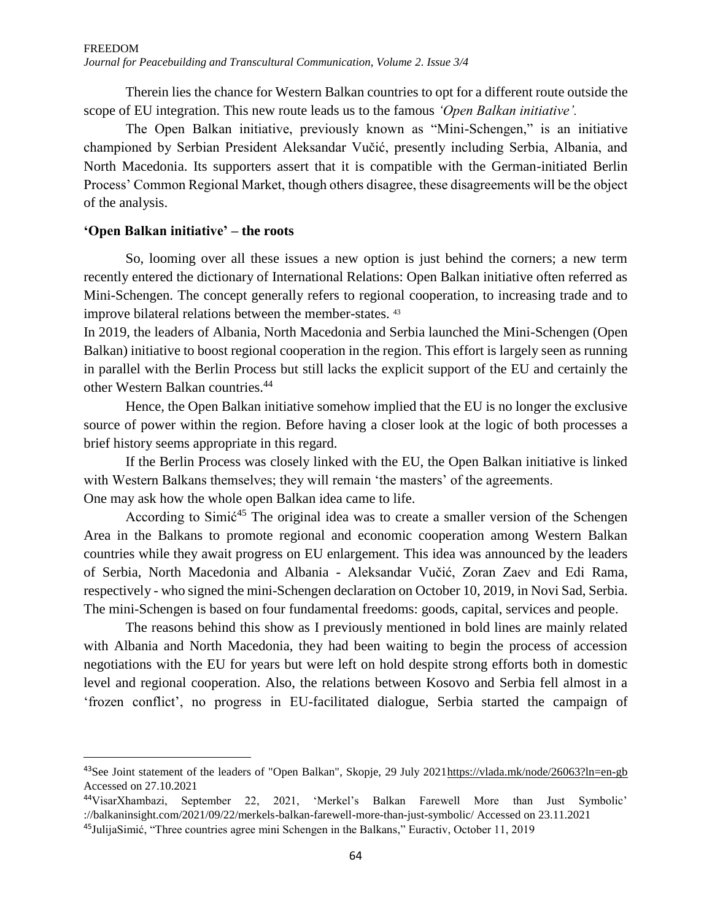Therein lies the chance for Western Balkan countries to opt for a different route outside the scope of EU integration. This new route leads us to the famous *'Open Balkan initiative'.*

The Open Balkan initiative, previously known as "Mini-Schengen," is an initiative championed by Serbian President Aleksandar Vučić, presently including Serbia, Albania, and North Macedonia. Its supporters assert that it is compatible with the German-initiated Berlin Process' Common Regional Market, though others disagree, these disagreements will be the object of the analysis.

## **'Open Balkan initiative' – the roots**

 $\overline{\phantom{a}}$ 

So, looming over all these issues a new option is just behind the corners; a new term recently entered the dictionary of International Relations: Open Balkan initiative often referred as Mini-Schengen. The concept generally refers to regional cooperation, to increasing trade and to improve bilateral relations between the member-states. <sup>43</sup>

In 2019, the leaders of Albania, North Macedonia and Serbia launched the Mini-Schengen (Open Balkan) initiative to boost regional cooperation in the region. This effort is largely seen as running in parallel with the Berlin Process but still lacks the explicit support of the EU and certainly the other Western Balkan countries.<sup>44</sup>

Hence, the Open Balkan initiative somehow implied that the EU is no longer the exclusive source of power within the region. Before having a closer look at the logic of both processes a brief history seems appropriate in this regard.

If the Berlin Process was closely linked with the EU, the Open Balkan initiative is linked with Western Balkans themselves; they will remain 'the masters' of the agreements. One may ask how the whole open Balkan idea came to life.

According to Simic<sup>45</sup> The original idea was to create a smaller version of the Schengen Area in the Balkans to promote regional and economic cooperation among Western Balkan countries while they await progress on EU enlargement. This idea was announced by the leaders of Serbia, North Macedonia and Albania - Aleksandar Vučić, Zoran Zaev and Edi Rama, respectively - who signed the mini-Schengen declaration on October 10, 2019, in Novi Sad, Serbia. The mini-Schengen is based on four fundamental freedoms: goods, capital, services and people.

The reasons behind this show as I previously mentioned in bold lines are mainly related with Albania and North Macedonia, they had been waiting to begin the process of accession negotiations with the EU for years but were left on hold despite strong efforts both in domestic level and regional cooperation. Also, the relations between Kosovo and Serbia fell almost in a 'frozen conflict', no progress in EU-facilitated dialogue, Serbia started the campaign of

<sup>&</sup>lt;sup>43</sup>See Joint statement of the leaders of "Open Balkan", Skopje, 29 July 2021 https://vlada.mk/node/26063?ln=en-gb Accessed on 27.10.2021

<sup>44</sup>VisarXhambazi, September 22, 2021, 'Merkel's Balkan Farewell More than Just Symbolic' ://balkaninsight.com/2021/09/22/merkels-balkan-farewell-more-than-just-symbolic/ Accessed on 23.11.2021

<sup>&</sup>lt;sup>45</sup>JulijaSimić, "Three countries agree mini Schengen in the Balkans," Euractiv, October 11, 2019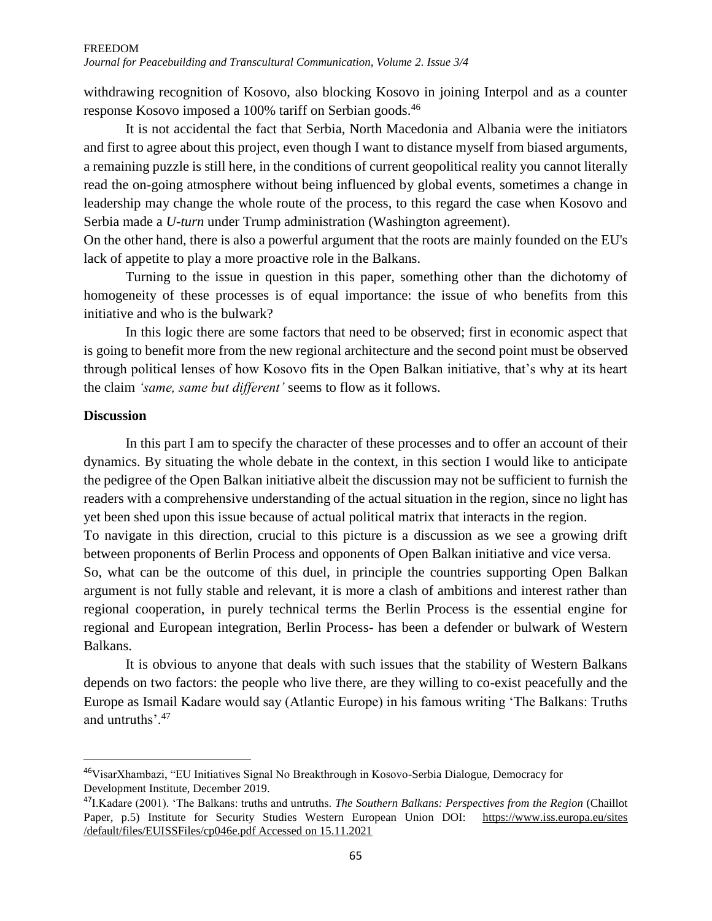withdrawing recognition of Kosovo, also blocking Kosovo in joining Interpol and as a counter response Kosovo imposed a 100% tariff on Serbian goods.<sup>46</sup>

It is not accidental the fact that Serbia, North Macedonia and Albania were the initiators and first to agree about this project, even though I want to distance myself from biased arguments, a remaining puzzle is still here, in the conditions of current geopolitical reality you cannot literally read the on-going atmosphere without being influenced by global events, sometimes a change in leadership may change the whole route of the process, to this regard the case when Kosovo and Serbia made a *U-turn* under Trump administration (Washington agreement).

On the other hand, there is also a powerful argument that the roots are mainly founded on the EU's lack of appetite to play a more proactive role in the Balkans.

Turning to the issue in question in this paper, something other than the dichotomy of homogeneity of these processes is of equal importance: the issue of who benefits from this initiative and who is the bulwark?

In this logic there are some factors that need to be observed; first in economic aspect that is going to benefit more from the new regional architecture and the second point must be observed through political lenses of how Kosovo fits in the Open Balkan initiative, that's why at its heart the claim *'same, same but different'* seems to flow as it follows.

## **Discussion**

 $\overline{\phantom{a}}$ 

In this part I am to specify the character of these processes and to offer an account of their dynamics. By situating the whole debate in the context, in this section I would like to anticipate the pedigree of the Open Balkan initiative albeit the discussion may not be sufficient to furnish the readers with a comprehensive understanding of the actual situation in the region, since no light has yet been shed upon this issue because of actual political matrix that interacts in the region.

To navigate in this direction, crucial to this picture is a discussion as we see a growing drift between proponents of Berlin Process and opponents of Open Balkan initiative and vice versa.

So, what can be the outcome of this duel, in principle the countries supporting Open Balkan argument is not fully stable and relevant, it is more a clash of ambitions and interest rather than regional cooperation, in purely technical terms the Berlin Process is the essential engine for regional and European integration, Berlin Process- has been a defender or bulwark of Western Balkans.

It is obvious to anyone that deals with such issues that the stability of Western Balkans depends on two factors: the people who live there, are they willing to co-exist peacefully and the Europe as Ismail Kadare would say (Atlantic Europe) in his famous writing 'The Balkans: Truths and untruths'.<sup>47</sup>

<sup>46</sup>VisarXhambazi, "EU Initiatives Signal No Breakthrough in Kosovo-Serbia Dialogue, Democracy for Development Institute, December 2019.

<sup>47</sup>I.Kadare (2001). 'The Balkans: truths and untruths. *The Southern Balkans: Perspectives from the Region* (Chaillot Paper, p.5) Institute for Security Studies Western European Union DOI: [https://www.iss.europa.eu/sites](https://www.iss.europa.eu/sites%20/default/files/EUISSFiles/cp046e.pdf%20Accessed%20on%2015.11.2021)  [/default/files/EUISSFiles/cp046e.pdf Accessed on 15.11.2021](https://www.iss.europa.eu/sites%20/default/files/EUISSFiles/cp046e.pdf%20Accessed%20on%2015.11.2021)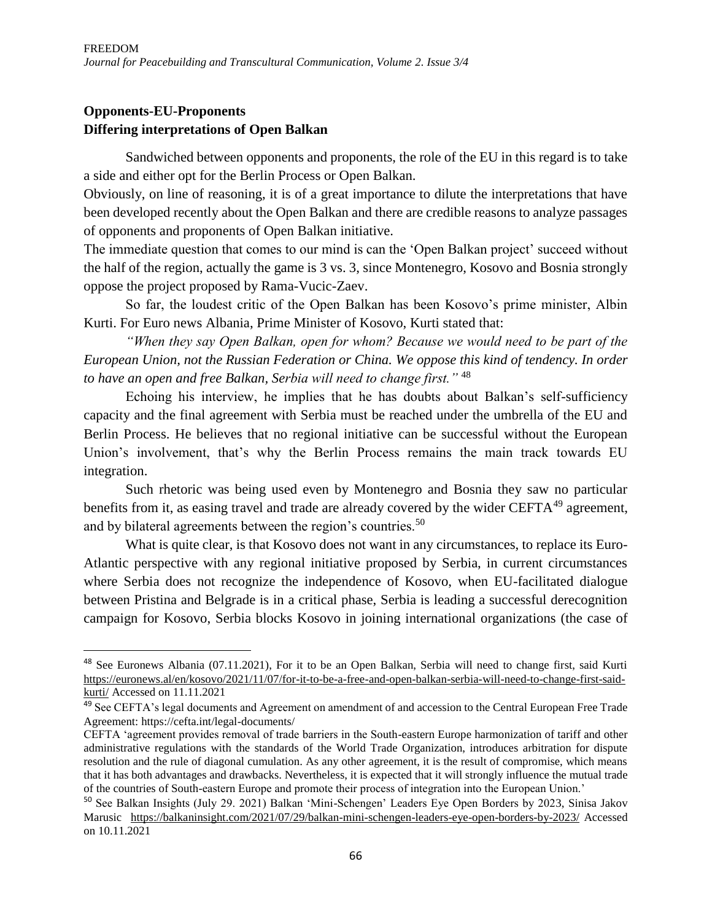## **Opponents-EU-Proponents Differing interpretations of Open Balkan**

 $\overline{a}$ 

Sandwiched between opponents and proponents, the role of the EU in this regard is to take a side and either opt for the Berlin Process or Open Balkan.

Obviously, on line of reasoning, it is of a great importance to dilute the interpretations that have been developed recently about the Open Balkan and there are credible reasons to analyze passages of opponents and proponents of Open Balkan initiative.

The immediate question that comes to our mind is can the 'Open Balkan project' succeed without the half of the region, actually the game is 3 vs. 3, since Montenegro, Kosovo and Bosnia strongly oppose the project proposed by Rama-Vucic-Zaev.

So far, the loudest critic of the Open Balkan has been Kosovo's prime minister, Albin Kurti. For Euro news Albania, Prime Minister of Kosovo, Kurti stated that:

*"When they say Open Balkan, open for whom? Because we would need to be part of the European Union, not the Russian Federation or China. We oppose this kind of tendency. In order to have an open and free Balkan, Serbia will need to change first."* <sup>48</sup>

Echoing his interview, he implies that he has doubts about Balkan's self-sufficiency capacity and the final agreement with Serbia must be reached under the umbrella of the EU and Berlin Process. He believes that no regional initiative can be successful without the European Union's involvement, that's why the Berlin Process remains the main track towards EU integration.

Such rhetoric was being used even by Montenegro and Bosnia they saw no particular benefits from it, as easing travel and trade are already covered by the wider  $CEFTA^{49}$  agreement, and by bilateral agreements between the region's countries.<sup>50</sup>

What is quite clear, is that Kosovo does not want in any circumstances, to replace its Euro-Atlantic perspective with any regional initiative proposed by Serbia, in current circumstances where Serbia does not recognize the independence of Kosovo, when EU-facilitated dialogue between Pristina and Belgrade is in a critical phase, Serbia is leading a successful derecognition campaign for Kosovo, Serbia blocks Kosovo in joining international organizations (the case of

<sup>48</sup> See Euronews Albania (07.11.2021), For it to be an Open Balkan, Serbia will need to change first, said Kurti [https://euronews.al/en/kosovo/2021/11/07/for-it-to-be-a-free-and-open-balkan-serbia-will-need-to-change-first-said](https://euronews.al/en/kosovo/2021/11/07/for-it-to-be-a-free-and-open-balkan-serbia-will-need-to-change-first-said-kurti/)[kurti/](https://euronews.al/en/kosovo/2021/11/07/for-it-to-be-a-free-and-open-balkan-serbia-will-need-to-change-first-said-kurti/) Accessed on 11.11.2021

<sup>&</sup>lt;sup>49</sup> See CEFTA's legal documents and Agreement on amendment of and accession to the Central European Free Trade Agreement: https://cefta.int/legal-documents/

CEFTA 'agreement provides removal of trade barriers in the South-eastern Europe harmonization of tariff and other administrative regulations with the standards of the World Trade Organization, introduces arbitration for dispute resolution and the rule of diagonal cumulation. As any other agreement, it is the result of compromise, which means that it has both advantages and drawbacks. Nevertheless, it is expected that it will strongly influence the mutual trade of the countries of South-eastern Europe and promote their process of integration into the European Union.'

<sup>50</sup> See Balkan Insights (July 29. 2021) Balkan 'Mini-Schengen' Leaders Eye Open Borders by 2023, Sinisa Jakov Marusic <https://balkaninsight.com/2021/07/29/balkan-mini-schengen-leaders-eye-open-borders-by-2023/> Accessed on 10.11.2021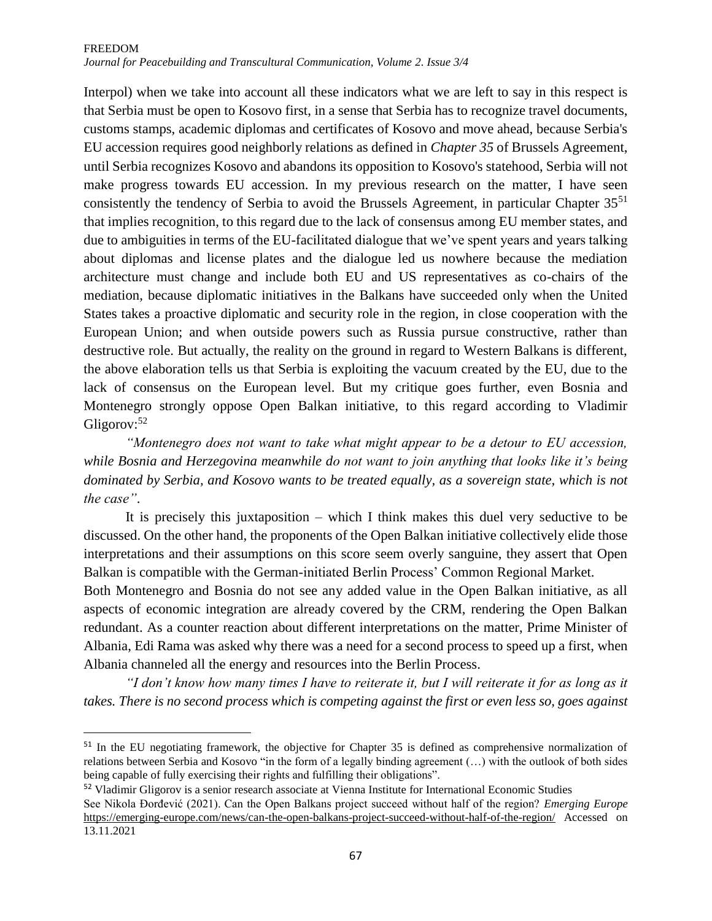# FREEDOM

*Journal for Peacebuilding and Transcultural Communication, Volume 2. Issue 3/4*

Interpol) when we take into account all these indicators what we are left to say in this respect is that Serbia must be open to Kosovo first, in a sense that Serbia has to recognize travel documents, customs stamps, academic diplomas and certificates of Kosovo and move ahead, because Serbia's EU accession requires good neighborly relations as defined in *Chapter 35* of Brussels Agreement, until Serbia recognizes Kosovo and abandons its opposition to Kosovo's statehood, Serbia will not make progress towards EU accession. In my previous research on the matter, I have seen consistently the tendency of Serbia to avoid the Brussels Agreement, in particular Chapter 35<sup>51</sup> that implies recognition, to this regard due to the lack of consensus among EU member states, and due to ambiguities in terms of the EU-facilitated dialogue that we've spent years and years talking about diplomas and license plates and the dialogue led us nowhere because the mediation architecture must change and include both EU and US representatives as co-chairs of the mediation, because diplomatic initiatives in the Balkans have succeeded only when the United States takes a proactive diplomatic and security role in the region, in close cooperation with the European Union; and when outside powers such as Russia pursue constructive, rather than destructive role. But actually, the reality on the ground in regard to Western Balkans is different, the above elaboration tells us that Serbia is exploiting the vacuum created by the EU, due to the lack of consensus on the European level. But my critique goes further, even Bosnia and Montenegro strongly oppose Open Balkan initiative, to this regard according to Vladimir Gligorov:<sup>52</sup>

*"Montenegro does not want to take what might appear to be a detour to EU accession, while Bosnia and Herzegovina meanwhile do not want to join anything that looks like it's being dominated by Serbia, and Kosovo wants to be treated equally, as a sovereign state, which is not the case"*.

It is precisely this juxtaposition – which I think makes this duel very seductive to be discussed. On the other hand, the proponents of the Open Balkan initiative collectively elide those interpretations and their assumptions on this score seem overly sanguine, they assert that Open Balkan is compatible with the German-initiated Berlin Process' Common Regional Market.

Both Montenegro and Bosnia do not see any added value in the Open Balkan initiative, as all aspects of economic integration are already covered by the CRM, rendering the Open Balkan redundant. As a counter reaction about different interpretations on the matter, Prime Minister of Albania, Edi Rama was asked why there was a need for a second process to speed up a first, when Albania channeled all the energy and resources into the Berlin Process.

*"I don't know how many times I have to reiterate it, but I will reiterate it for as long as it takes. There is no second process which is competing against the first or even less so, goes against* 

l

<sup>&</sup>lt;sup>51</sup> In the EU negotiating framework, the objective for Chapter 35 is defined as comprehensive normalization of relations between Serbia and Kosovo "in the form of a legally binding agreement (…) with the outlook of both sides being capable of fully exercising their rights and fulfilling their obligations".

<sup>&</sup>lt;sup>52</sup> Vladimir Gligorov is a senior research associate at Vienna Institute for International Economic Studies

See Nikola Đorđević (2021). Can the Open Balkans project succeed without half of the region? *Emerging Europe*  <https://emerging-europe.com/news/can-the-open-balkans-project-succeed-without-half-of-the-region/> Accessed on 13.11.2021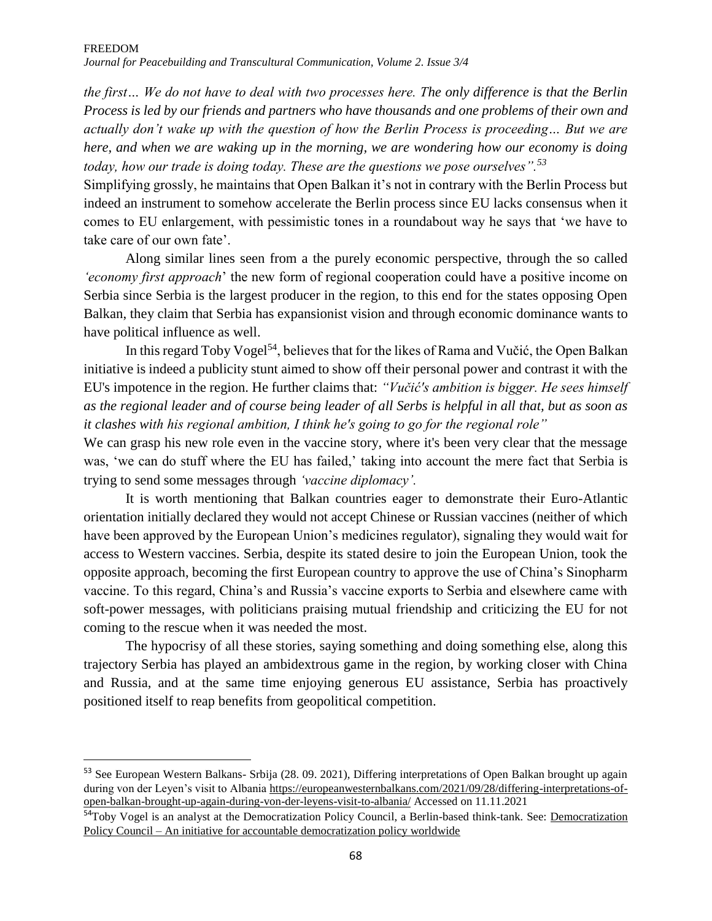*the first… We do not have to deal with two processes here. The only difference is that the Berlin Process is led by our friends and partners who have thousands and one problems of their own and actually don't wake up with the question of how the Berlin Process is proceeding… But we are here, and when we are waking up in the morning, we are wondering how our economy is doing today, how our trade is doing today. These are the questions we pose ourselves".<sup>53</sup>*

Simplifying grossly, he maintains that Open Balkan it's not in contrary with the Berlin Process but indeed an instrument to somehow accelerate the Berlin process since EU lacks consensus when it comes to EU enlargement, with pessimistic tones in a roundabout way he says that 'we have to take care of our own fate'.

Along similar lines seen from a the purely economic perspective, through the so called *'economy first approach*' the new form of regional cooperation could have a positive income on Serbia since Serbia is the largest producer in the region, to this end for the states opposing Open Balkan, they claim that Serbia has expansionist vision and through economic dominance wants to have political influence as well.

In this regard Toby Vogel<sup>54</sup>, believes that for the likes of Rama and Vučić, the Open Balkan initiative is indeed a publicity stunt aimed to show off their personal power and contrast it with the EU's impotence in the region. He further claims that: *"Vučić's ambition is bigger. He sees himself as the regional leader and of course being leader of all Serbs is helpful in all that, but as soon as it clashes with his regional ambition, I think he's going to go for the regional role"*

We can grasp his new role even in the vaccine story, where it's been very clear that the message was, 'we can do stuff where the EU has failed,' taking into account the mere fact that Serbia is trying to send some messages through *'vaccine diplomacy'.*

It is worth mentioning that Balkan countries eager to demonstrate their Euro-Atlantic orientation initially declared they would not accept Chinese or Russian vaccines (neither of which have been approved by the European Union's medicines regulator), signaling they would wait for access to Western vaccines. Serbia, despite its stated desire to join the European Union, took the opposite approach, becoming the first European country to approve the use of China's Sinopharm vaccine. To this regard, China's and Russia's vaccine exports to Serbia and elsewhere came with soft-power messages, with politicians praising mutual friendship and criticizing the EU for not coming to the rescue when it was needed the most.

The hypocrisy of all these stories, saying something and doing something else, along this trajectory Serbia has played an ambidextrous game in the region, by working closer with China and Russia, and at the same time enjoying generous EU assistance, Serbia has proactively positioned itself to reap benefits from geopolitical competition.

 $\overline{\phantom{a}}$ 

<sup>53</sup> See European Western Balkans- Srbija (28. 09. 2021), Differing interpretations of Open Balkan brought up again during von der Leyen's visit to Albania [https://europeanwesternbalkans.com/2021/09/28/differing-interpretations-of](https://europeanwesternbalkans.com/2021/09/28/differing-interpretations-of-open-balkan-brought-up-again-during-von-der-leyens-visit-to-albania/)[open-balkan-brought-up-again-during-von-der-leyens-visit-to-albania/](https://europeanwesternbalkans.com/2021/09/28/differing-interpretations-of-open-balkan-brought-up-again-during-von-der-leyens-visit-to-albania/) Accessed on 11.11.2021

<sup>&</sup>lt;sup>54</sup>Toby Vogel is an analyst at the [Democratization](http://www.democratizationpolicy.org/) Policy Council, a Berlin-based think-tank. See: Democratization Policy Council – [An initiative for accountable democratization policy worldwide](http://www.democratizationpolicy.org/)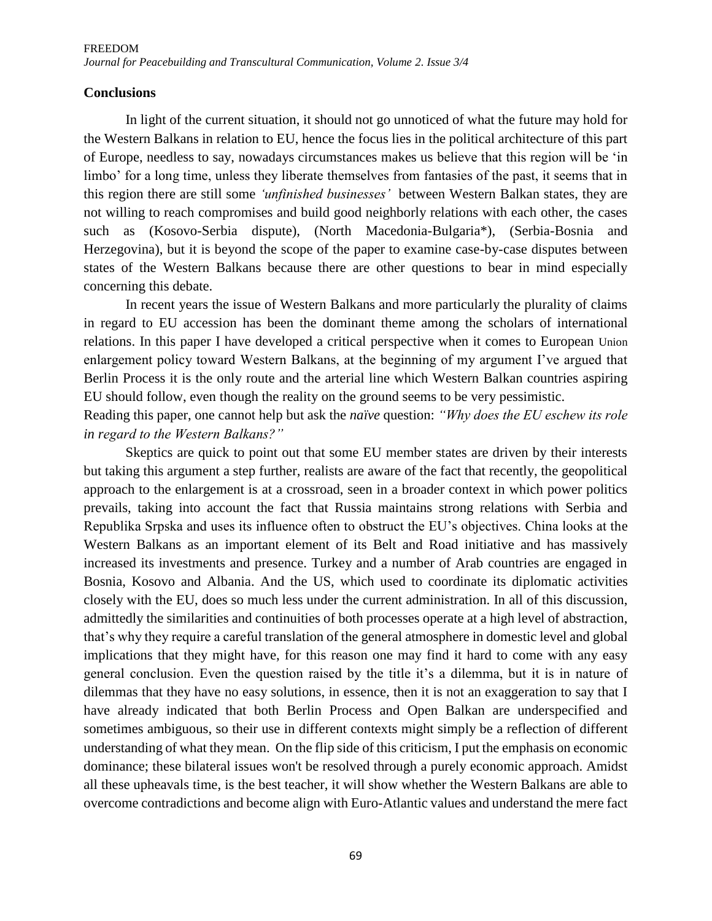## **Conclusions**

In light of the current situation, it should not go unnoticed of what the future may hold for the Western Balkans in relation to EU, hence the focus lies in the political architecture of this part of Europe, needless to say, nowadays circumstances makes us believe that this region will be 'in limbo' for a long time, unless they liberate themselves from fantasies of the past, it seems that in this region there are still some *'unfinished businesses'* between Western Balkan states, they are not willing to reach compromises and build good neighborly relations with each other, the cases such as (Kosovo-Serbia dispute), (North Macedonia-Bulgaria\*), (Serbia-Bosnia and Herzegovina), but it is beyond the scope of the paper to examine case-by-case disputes between states of the Western Balkans because there are other questions to bear in mind especially concerning this debate.

In recent years the issue of Western Balkans and more particularly the plurality of claims in regard to EU accession has been the dominant theme among the scholars of international relations. In this paper I have developed a critical perspective when it comes to European Union enlargement policy toward Western Balkans, at the beginning of my argument I've argued that Berlin Process it is the only route and the arterial line which Western Balkan countries aspiring EU should follow, even though the reality on the ground seems to be very pessimistic.

Reading this paper, one cannot help but ask the *naïve* question: *"Why does the EU eschew its role in regard to the Western Balkans?"*

Skeptics are quick to point out that some EU member states are driven by their interests but taking this argument a step further, realists are aware of the fact that recently, the geopolitical approach to the enlargement is at a crossroad, seen in a broader context in which power politics prevails, taking into account the fact that Russia maintains strong relations with Serbia and Republika Srpska and uses its influence often to obstruct the EU's objectives. China looks at the Western Balkans as an important element of its Belt and Road initiative and has massively increased its investments and presence. Turkey and a number of Arab countries are engaged in Bosnia, Kosovo and Albania. And the US, which used to coordinate its diplomatic activities closely with the EU, does so much less under the current administration. In all of this discussion, admittedly the similarities and continuities of both processes operate at a high level of abstraction, that's why they require a careful translation of the general atmosphere in domestic level and global implications that they might have, for this reason one may find it hard to come with any easy general conclusion. Even the question raised by the title it's a dilemma, but it is in nature of dilemmas that they have no easy solutions, in essence, then it is not an exaggeration to say that I have already indicated that both Berlin Process and Open Balkan are underspecified and sometimes ambiguous, so their use in different contexts might simply be a reflection of different understanding of what they mean. On the flip side of this criticism, I put the emphasis on economic dominance; these bilateral issues won't be resolved through a purely economic approach. Amidst all these upheavals time, is the best teacher, it will show whether the Western Balkans are able to overcome contradictions and become align with Euro-Atlantic values and understand the mere fact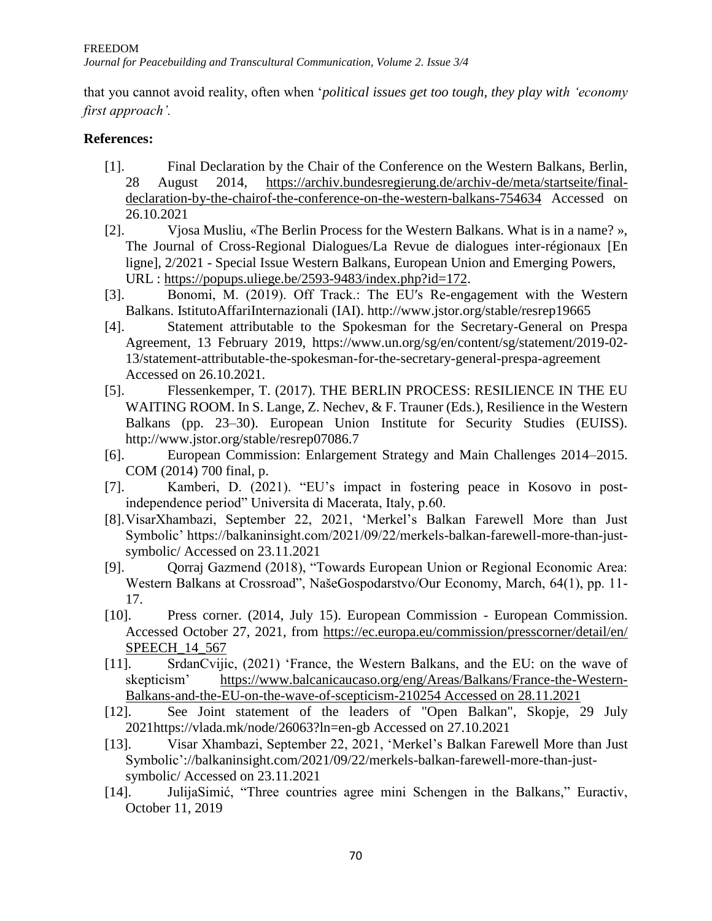that you cannot avoid reality, often when '*political issues get too tough, they play with 'economy first approach'.*

## **References:**

- [1]. Final Declaration by the Chair of the Conference on the Western Balkans, Berlin, 28 August 2014, [https://archiv.bundesregierung.de/archiv-de/meta/startseite/final](https://archiv.bundesregierung.de/archiv-de/meta/startseite/final-declaration-by-the-chairof-the-conference-on-the-western-balkans-754634)[declaration-by-the-chairof-the-conference-on-the-western-balkans-754634](https://archiv.bundesregierung.de/archiv-de/meta/startseite/final-declaration-by-the-chairof-the-conference-on-the-western-balkans-754634) Accessed on 26.10.2021
- [2]. Vjosa Musliu, «The Berlin Process for the Western Balkans. What is in a name? », The Journal of Cross-Regional Dialogues/La Revue de dialogues inter-régionaux [En ligne], 2/2021 - Special Issue Western Balkans, European Union and Emerging Powers, URL : [https://popups.uliege.be/2593-9483/index.php?id=172.](https://popups.uliege.be/2593-9483/index.php?id=172)
- [3]. Bonomi, M. (2019). Off Track.: The EUʹs Re-engagement with the Western Balkans. IstitutoAffariInternazionali (IAI). http://www.jstor.org/stable/resrep19665
- [4]. Statement attributable to the Spokesman for the Secretary-General on Prespa Agreement, 13 February 2019, https://www.un.org/sg/en/content/sg/statement/2019-02- 13/statement-attributable-the-spokesman-for-the-secretary-general-prespa-agreement Accessed on 26.10.2021.
- [5]. Flessenkemper, T. (2017). THE BERLIN PROCESS: RESILIENCE IN THE EU WAITING ROOM. In S. Lange, Z. Nechev, & F. Trauner (Eds.), Resilience in the Western Balkans (pp. 23–30). European Union Institute for Security Studies (EUISS). http://www.jstor.org/stable/resrep07086.7
- [6]. European Commission: Enlargement Strategy and Main Challenges 2014–2015. COM (2014) 700 final, p.
- [7]. Kamberi, D. (2021). "EU's impact in fostering peace in Kosovo in postindependence period" Universita di Macerata, Italy, p.60.
- [8].VisarXhambazi, September 22, 2021, 'Merkel's Balkan Farewell More than Just Symbolic' https://balkaninsight.com/2021/09/22/merkels-balkan-farewell-more-than-justsymbolic/ Accessed on 23.11.2021
- [9]. Qorraj Gazmend (2018), "Towards European Union or Regional Economic Area: Western Balkans at Crossroad", NašeGospodarstvo/Our Economy, March, 64(1), pp. 11- 17.
- [10]. Press corner. (2014, July 15). European Commission European Commission. Accessed October 27, 2021, from [https://ec.europa.eu/commission/presscorner/detail/en/](https://ec.europa.eu/commission/presscorner/detail/en/%20SPEECH_14_567)  [SPEECH\\_14\\_567](https://ec.europa.eu/commission/presscorner/detail/en/%20SPEECH_14_567)
- [11]. SrdanCvijic, (2021) 'France, the Western Balkans, and the EU: on the wave of skepticism' [https://www.balcanicaucaso.org/eng/Areas/Balkans/France-the-Western-](https://www.balcanicaucaso.org/eng/Areas/Balkans/France-the-Western-Balkans-and-the-EU-on-the-wave-of-scepticism-210254%20Accessed%20on%2028.11.2021)[Balkans-and-the-EU-on-the-wave-of-scepticism-210254 Accessed on 28.11.2021](https://www.balcanicaucaso.org/eng/Areas/Balkans/France-the-Western-Balkans-and-the-EU-on-the-wave-of-scepticism-210254%20Accessed%20on%2028.11.2021)
- [12]. See Joint statement of the leaders of "Open Balkan", Skopje, 29 July 2021https://vlada.mk/node/26063?ln=en-gb Accessed on 27.10.2021
- [13]. Visar Xhambazi, September 22, 2021, 'Merkel's Balkan Farewell More than Just Symbolic'://balkaninsight.com/2021/09/22/merkels-balkan-farewell-more-than-justsymbolic/ Accessed on 23.11.2021
- [14]. JulijaSimić, "Three countries agree mini Schengen in the Balkans," Euractiv, October 11, 2019